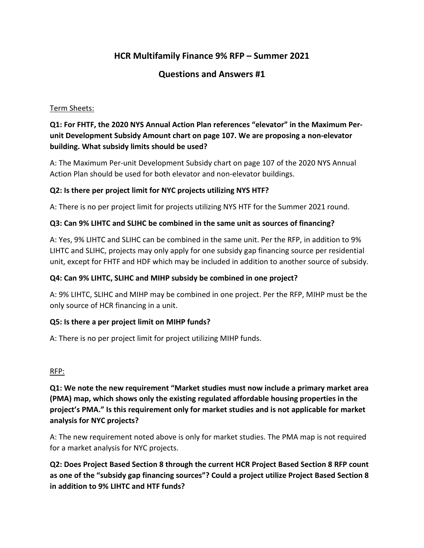# **HCR Multifamily Finance 9% RFP – Summer 2021**

# **Questions and Answers #1**

### Term Sheets:

# **Q1: For FHTF, the 2020 NYS Annual Action Plan references "elevator" in the Maximum Perunit Development Subsidy Amount chart on page 107. We are proposing a non-elevator building. What subsidy limits should be used?**

A: The Maximum Per-unit Development Subsidy chart on page 107 of the 2020 NYS Annual Action Plan should be used for both elevator and non-elevator buildings.

### **Q2: Is there per project limit for NYC projects utilizing NYS HTF?**

A: There is no per project limit for projects utilizing NYS HTF for the Summer 2021 round.

### **Q3: Can 9% LIHTC and SLIHC be combined in the same unit as sources of financing?**

A: Yes, 9% LIHTC and SLIHC can be combined in the same unit. Per the RFP, in addition to 9% LIHTC and SLIHC, projects may only apply for one subsidy gap financing source per residential unit, except for FHTF and HDF which may be included in addition to another source of subsidy.

### **Q4: Can 9% LIHTC, SLIHC and MIHP subsidy be combined in one project?**

A: 9% LIHTC, SLIHC and MIHP may be combined in one project. Per the RFP, MIHP must be the only source of HCR financing in a unit.

### **Q5: Is there a per project limit on MIHP funds?**

A: There is no per project limit for project utilizing MIHP funds.

#### RFP:

**Q1: We note the new requirement "Market studies must now include a primary market area (PMA) map, which shows only the existing regulated affordable housing properties in the project's PMA." Is this requirement only for market studies and is not applicable for market analysis for NYC projects?**

A: The new requirement noted above is only for market studies. The PMA map is not required for a market analysis for NYC projects.

**Q2: Does Project Based Section 8 through the current HCR Project Based Section 8 RFP count as one of the "subsidy gap financing sources"? Could a project utilize Project Based Section 8 in addition to 9% LIHTC and HTF funds?**